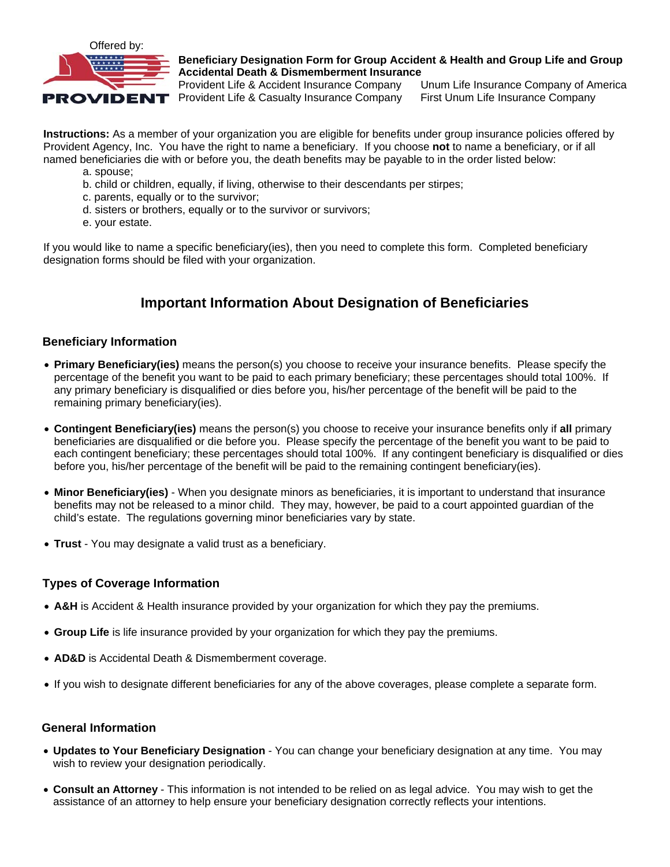

## **Beneficiary Designation Form for Group Accident & Health and Group Life and Group Accidental Death & Dismemberment Insurance**

Provident Life & Accident Insurance Company Unum Life Insurance Company of America **PROVIDENT** Provident Life & Casualty Insurance Company First Unum Life Insurance Company

**Instructions:** As a member of your organization you are eligible for benefits under group insurance policies offered by Provident Agency, Inc. You have the right to name a beneficiary. If you choose **not** to name a beneficiary, or if all named beneficiaries die with or before you, the death benefits may be payable to in the order listed below:

- a. spouse;
- b. child or children, equally, if living, otherwise to their descendants per stirpes;
- c. parents, equally or to the survivor;
- d. sisters or brothers, equally or to the survivor or survivors;
- e. your estate.

If you would like to name a specific beneficiary(ies), then you need to complete this form. Completed beneficiary designation forms should be filed with your organization.

# **Important Information About Designation of Beneficiaries**

### **Beneficiary Information**

- **Primary Beneficiary(ies)** means the person(s) you choose to receive your insurance benefits. Please specify the percentage of the benefit you want to be paid to each primary beneficiary; these percentages should total 100%. If any primary beneficiary is disqualified or dies before you, his/her percentage of the benefit will be paid to the remaining primary beneficiary(ies).
- **Contingent Beneficiary(ies)** means the person(s) you choose to receive your insurance benefits only if **all** primary beneficiaries are disqualified or die before you. Please specify the percentage of the benefit you want to be paid to each contingent beneficiary; these percentages should total 100%. If any contingent beneficiary is disqualified or dies before you, his/her percentage of the benefit will be paid to the remaining contingent beneficiary(ies).
- **Minor Beneficiary(ies)** When you designate minors as beneficiaries, it is important to understand that insurance benefits may not be released to a minor child. They may, however, be paid to a court appointed guardian of the child's estate. The regulations governing minor beneficiaries vary by state.
- **Trust** You may designate a valid trust as a beneficiary.

## **Types of Coverage Information**

- **A&H** is Accident & Health insurance provided by your organization for which they pay the premiums.
- **Group Life** is life insurance provided by your organization for which they pay the premiums.
- **AD&D** is Accidental Death & Dismemberment coverage.
- If you wish to designate different beneficiaries for any of the above coverages, please complete a separate form.

#### **General Information**

- **Updates to Your Beneficiary Designation** You can change your beneficiary designation at any time. You may wish to review your designation periodically.
- **Consult an Attorney** This information is not intended to be relied on as legal advice. You may wish to get the assistance of an attorney to help ensure your beneficiary designation correctly reflects your intentions.